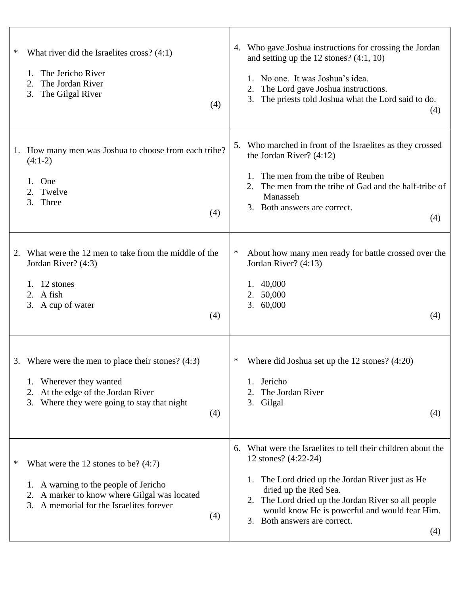| What river did the Israelites cross? $(4:1)$<br>∗<br>The Jericho River<br>1.<br>The Jordan River<br>2.<br>The Gilgal River<br>3.<br>(4)                                                       | Who gave Joshua instructions for crossing the Jordan<br>4.<br>and setting up the $12$ stones? $(4:1, 10)$<br>1. No one. It was Joshua's idea.<br>The Lord gave Joshua instructions.<br>2.<br>The priests told Joshua what the Lord said to do.<br>3.<br>(4)                                                         |
|-----------------------------------------------------------------------------------------------------------------------------------------------------------------------------------------------|---------------------------------------------------------------------------------------------------------------------------------------------------------------------------------------------------------------------------------------------------------------------------------------------------------------------|
| How many men was Joshua to choose from each tribe?<br>1.<br>$(4:1-2)$<br>One<br>1.<br>2. Twelve<br>3.<br>Three<br>(4)                                                                         | Who marched in front of the Israelites as they crossed<br>5.<br>the Jordan River? $(4:12)$<br>1. The men from the tribe of Reuben<br>The men from the tribe of Gad and the half-tribe of<br>2.<br>Manasseh<br>3. Both answers are correct.<br>(4)                                                                   |
| What were the 12 men to take from the middle of the<br>2.<br>Jordan River? (4:3)<br>1. $12$ stones<br>2. A fish<br>3. A cup of water<br>(4)                                                   | About how many men ready for battle crossed over the<br>∗<br>Jordan River? (4:13)<br>1. 40,000<br>50,000<br>2.<br>3. 60,000<br>(4)                                                                                                                                                                                  |
| 3. Where were the men to place their stones? $(4:3)$<br>Wherever they wanted<br>1.<br>At the edge of the Jordan River<br>2.<br>3. Where they were going to stay that night<br>(4)             | Where did Joshua set up the $12$ stones? $(4:20)$<br>∗<br>Jericho<br>The Jordan River<br>2.<br>3.<br>Gilgal<br>(4)                                                                                                                                                                                                  |
| What were the 12 stones to be? $(4:7)$<br>∗<br>1. A warning to the people of Jericho<br>A marker to know where Gilgal was located<br>2.<br>A memorial for the Israelites forever<br>3.<br>(4) | What were the Israelites to tell their children about the<br>6.<br>12 stones? (4:22-24)<br>1. The Lord dried up the Jordan River just as He<br>dried up the Red Sea.<br>2. The Lord dried up the Jordan River so all people<br>would know He is powerful and would fear Him.<br>3. Both answers are correct.<br>(4) |

 $\overline{\phantom{a}}$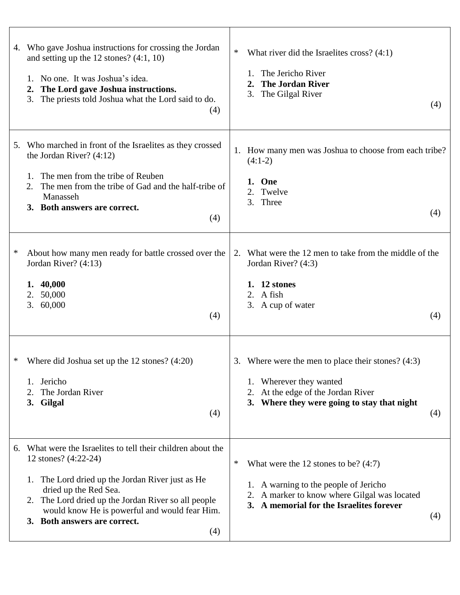|        | 4. Who gave Joshua instructions for crossing the Jordan<br>and setting up the 12 stones? $(4:1, 10)$<br>No one. It was Joshua's idea.<br>$1_{-}$<br>The Lord gave Joshua instructions.<br>2.<br>The priests told Joshua what the Lord said to do.<br>3.<br>(4)                                                   | $\ast$<br>What river did the Israelites cross? $(4:1)$<br>The Jericho River<br><b>The Jordan River</b><br>2.<br>3. The Gilgal River<br>(4)                                                 |
|--------|------------------------------------------------------------------------------------------------------------------------------------------------------------------------------------------------------------------------------------------------------------------------------------------------------------------|--------------------------------------------------------------------------------------------------------------------------------------------------------------------------------------------|
| 5.     | Who marched in front of the Israelites as they crossed<br>the Jordan River? $(4:12)$<br>The men from the tribe of Reuben<br>1.<br>The men from the tribe of Gad and the half-tribe of<br>Manasseh<br>3. Both answers are correct.<br>(4)                                                                         | 1. How many men was Joshua to choose from each tribe?<br>$(4:1-2)$<br>One<br>1.<br>Twelve<br>2.<br>3. Three<br>(4)                                                                         |
| $\ast$ | About how many men ready for battle crossed over the<br>Jordan River? (4:13)<br>40,000<br>1.<br>50,000<br>2.<br>60,000<br>3.<br>(4)                                                                                                                                                                              | What were the 12 men to take from the middle of the<br>2.<br>Jordan River? (4:3)<br>12 stones<br>A fish<br>2.<br>3. A cup of water<br>(4)                                                  |
| ∗      | Where did Joshua set up the $12$ stones? $(4:20)$<br>Jericho<br>1.<br>The Jordan River<br>3. Gilgal<br>(4)                                                                                                                                                                                                       | 3. Where were the men to place their stones? $(4:3)$<br>1. Wherever they wanted<br>2. At the edge of the Jordan River<br>3. Where they were going to stay that night<br>(4)                |
| 6.     | What were the Israelites to tell their children about the<br>12 stones? (4:22-24)<br>1. The Lord dried up the Jordan River just as He<br>dried up the Red Sea.<br>The Lord dried up the Jordan River so all people<br>2.<br>would know He is powerful and would fear Him.<br>3. Both answers are correct.<br>(4) | ∗<br>What were the 12 stones to be? $(4:7)$<br>1. A warning to the people of Jericho<br>A marker to know where Gilgal was located<br>2.<br>3. A memorial for the Israelites forever<br>(4) |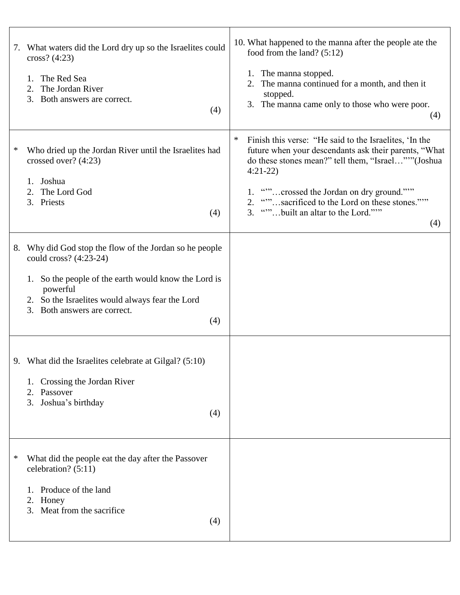|   | 7. What waters did the Lord dry up so the Israelites could<br>cross? $(4:23)$<br>The Red Sea<br>1.<br>The Jordan River<br>2.<br>3. Both answers are correct.<br>(4)                                                                                   | 10. What happened to the manna after the people ate the<br>food from the land? $(5:12)$<br>1. The manna stopped.<br>2. The manna continued for a month, and then it<br>stopped.<br>3. The manna came only to those who were poor.<br>(4)                                                                                               |
|---|-------------------------------------------------------------------------------------------------------------------------------------------------------------------------------------------------------------------------------------------------------|----------------------------------------------------------------------------------------------------------------------------------------------------------------------------------------------------------------------------------------------------------------------------------------------------------------------------------------|
| ∗ | Who dried up the Jordan River until the Israelites had<br>crossed over? $(4:23)$<br>1. Joshua<br>2. The Lord God<br>3. Priests<br>(4)                                                                                                                 | ∗<br>Finish this verse: "He said to the Israelites, 'In the<br>future when your descendants ask their parents, "What<br>do these stones mean?" tell them, "Israel"" (Joshua<br>$4:21-22$<br>1. ""crossed the Jordan on dry ground."""<br>2. ""sacrificed to the Lord on these stones."""<br>3. ""built an altar to the Lord."""<br>(4) |
|   | 8. Why did God stop the flow of the Jordan so he people<br>could cross? (4:23-24)<br>So the people of the earth would know the Lord is<br>1.<br>powerful<br>2. So the Israelites would always fear the Lord<br>Both answers are correct.<br>3.<br>(4) |                                                                                                                                                                                                                                                                                                                                        |
|   | 9. What did the Israelites celebrate at Gilgal? (5:10)<br>Crossing the Jordan River<br>Passover<br>2.<br>Joshua's birthday<br>3.<br>(4)                                                                                                               |                                                                                                                                                                                                                                                                                                                                        |
| ∗ | What did the people eat the day after the Passover<br>celebration? $(5:11)$<br>Produce of the land<br>Honey<br>2.<br>3. Meat from the sacrifice<br>(4)                                                                                                |                                                                                                                                                                                                                                                                                                                                        |

 $\top$